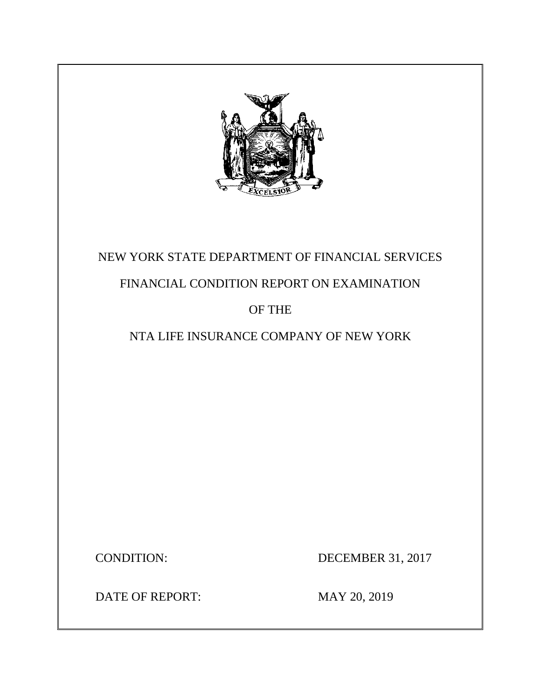

# NEW YORK STATE DEPARTMENT OF FINANCIAL SERVICES

## FINANCIAL CONDITION REPORT ON EXAMINATION

## OF THE

## NTA LIFE INSURANCE COMPANY OF NEW YORK

CONDITION: DECEMBER 31, 2017

DATE OF REPORT: MAY 20, 2019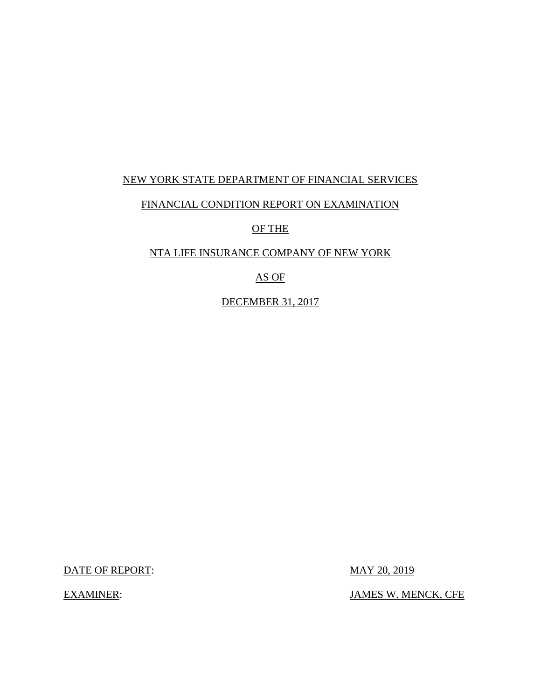### NEW YORK STATE DEPARTMENT OF FINANCIAL SERVICES

### FINANCIAL CONDITION REPORT ON EXAMINATION

OF THE

### NTA LIFE INSURANCE COMPANY OF NEW YORK

AS OF

DECEMBER 31, 2017

DATE OF REPORT: MAY 20, 2019

EXAMINER: JAMES W. MENCK, CFE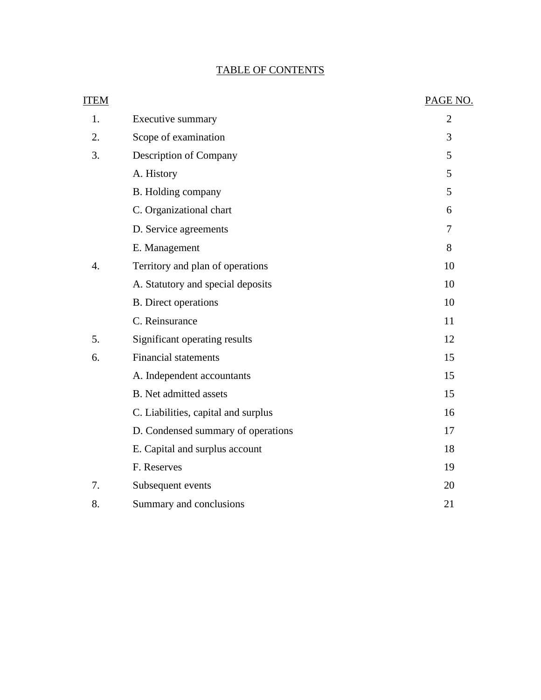## TABLE OF CONTENTS

| <b>ITEM</b>      |                                     | PAGE NO.       |
|------------------|-------------------------------------|----------------|
| 1.               | Executive summary                   | $\overline{2}$ |
| 2.               | Scope of examination                | 3              |
| 3.               | Description of Company              | 5              |
|                  | A. History                          | 5              |
|                  | B. Holding company                  | 5              |
|                  | C. Organizational chart             | 6              |
|                  | D. Service agreements               | 7              |
|                  | E. Management                       | 8              |
| $\overline{4}$ . | Territory and plan of operations    | 10             |
|                  | A. Statutory and special deposits   | 10             |
|                  | <b>B.</b> Direct operations         | 10             |
|                  | C. Reinsurance                      | 11             |
| 5.               | Significant operating results       | 12             |
| 6.               | <b>Financial statements</b>         | 15             |
|                  | A. Independent accountants          | 15             |
|                  | <b>B.</b> Net admitted assets       | 15             |
|                  | C. Liabilities, capital and surplus | 16             |
|                  | D. Condensed summary of operations  | 17             |
|                  | E. Capital and surplus account      | 18             |
|                  | F. Reserves                         | 19             |
| 7.               | Subsequent events                   | 20             |
| 8.               | Summary and conclusions             | 21             |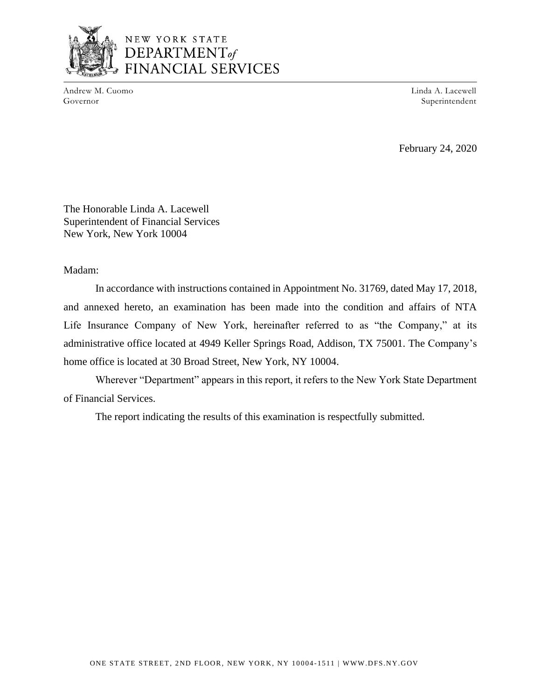

## NEW YORK STATE  $$ FINANCIAL SERVICES

Andrew M. Cuomo Governor

Linda A. Lacewell Superintendent

February 24, 2020

The Honorable Linda A. Lacewell Superintendent of Financial Services New York, New York 10004

Madam:

In accordance with instructions contained in Appointment No. 31769, dated May 17, 2018, and annexed hereto, an examination has been made into the condition and affairs of NTA Life Insurance Company of New York, hereinafter referred to as "the Company," at its administrative office located at 4949 Keller Springs Road, Addison, TX 75001. The Company's home office is located at 30 Broad Street, New York, NY 10004.

Wherever "Department" appears in this report, it refers to the New York State Department of Financial Services.

The report indicating the results of this examination is respectfully submitted.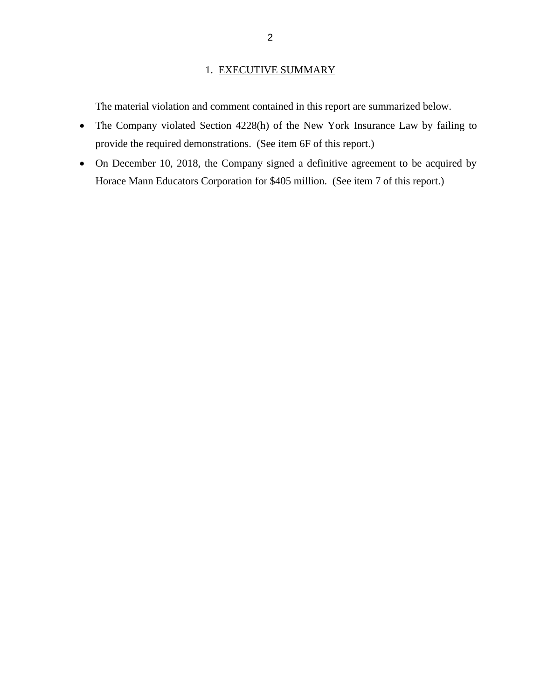### 1. EXECUTIVE SUMMARY

The material violation and comment contained in this report are summarized below.

- The Company violated Section 4228(h) of the New York Insurance Law by failing to provide the required demonstrations. (See item 6F of this report.)
- On December 10, 2018, the Company signed a definitive agreement to be acquired by Horace Mann Educators Corporation for \$405 million. (See item 7 of this report.)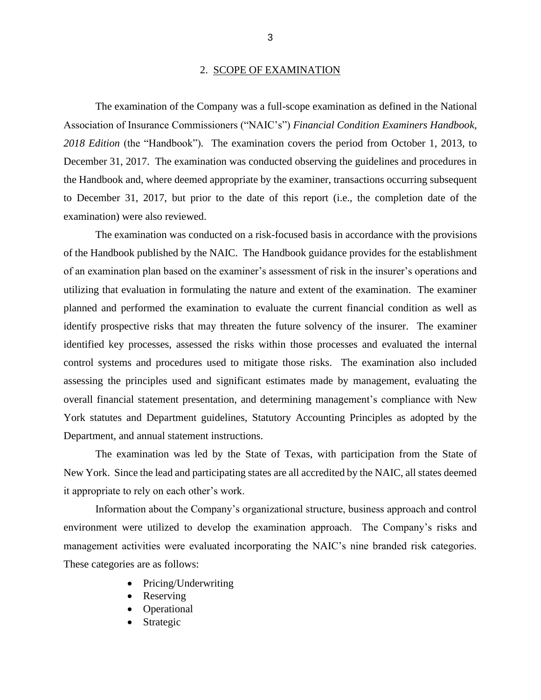#### 2. SCOPE OF EXAMINATION

The examination of the Company was a full-scope examination as defined in the National Association of Insurance Commissioners ("NAIC's") *Financial Condition Examiners Handbook, 2018 Edition* (the "Handbook")*.* The examination covers the period from October 1, 2013, to December 31, 2017. The examination was conducted observing the guidelines and procedures in the Handbook and, where deemed appropriate by the examiner, transactions occurring subsequent to December 31, 2017, but prior to the date of this report (i.e., the completion date of the examination) were also reviewed.

The examination was conducted on a risk-focused basis in accordance with the provisions of the Handbook published by the NAIC. The Handbook guidance provides for the establishment of an examination plan based on the examiner's assessment of risk in the insurer's operations and utilizing that evaluation in formulating the nature and extent of the examination. The examiner planned and performed the examination to evaluate the current financial condition as well as identify prospective risks that may threaten the future solvency of the insurer. The examiner identified key processes, assessed the risks within those processes and evaluated the internal control systems and procedures used to mitigate those risks. The examination also included assessing the principles used and significant estimates made by management, evaluating the overall financial statement presentation, and determining management's compliance with New York statutes and Department guidelines, Statutory Accounting Principles as adopted by the Department, and annual statement instructions.

The examination was led by the State of Texas, with participation from the State of New York. Since the lead and participating states are all accredited by the NAIC, all states deemed it appropriate to rely on each other's work.

Information about the Company's organizational structure, business approach and control environment were utilized to develop the examination approach. The Company's risks and management activities were evaluated incorporating the NAIC's nine branded risk categories. These categories are as follows:

- Pricing/Underwriting
- Reserving
- **Operational**
- **Strategic**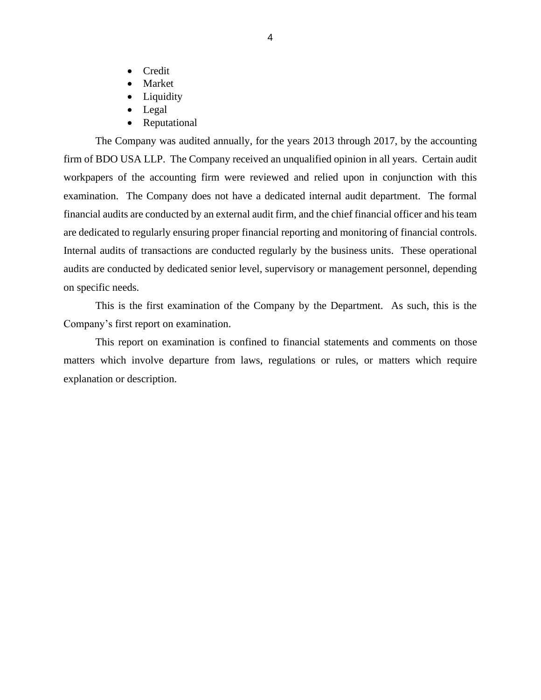- Credit
- Market
- Liquidity
- Legal
- Reputational

The Company was audited annually, for the years 2013 through 2017, by the accounting firm of BDO USA LLP. The Company received an unqualified opinion in all years. Certain audit workpapers of the accounting firm were reviewed and relied upon in conjunction with this examination. The Company does not have a dedicated internal audit department. The formal financial audits are conducted by an external audit firm, and the chief financial officer and his team are dedicated to regularly ensuring proper financial reporting and monitoring of financial controls. Internal audits of transactions are conducted regularly by the business units. These operational audits are conducted by dedicated senior level, supervisory or management personnel, depending on specific needs.

This is the first examination of the Company by the Department. As such, this is the Company's first report on examination.

This report on examination is confined to financial statements and comments on those matters which involve departure from laws, regulations or rules, or matters which require explanation or description.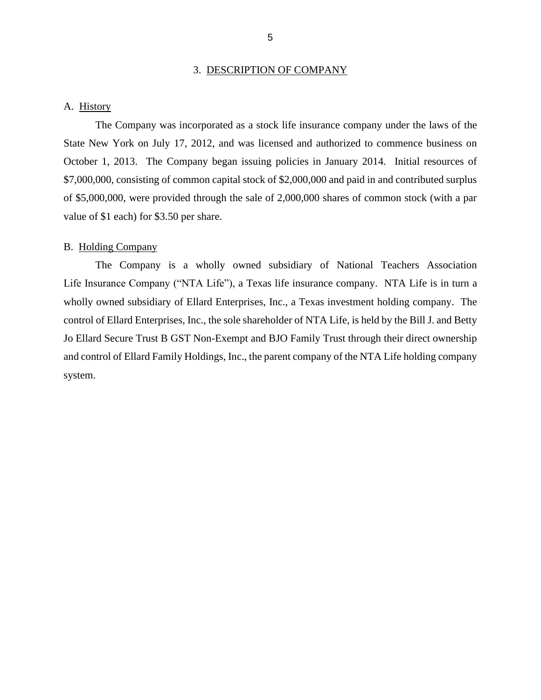#### 3. DESCRIPTION OF COMPANY

#### A. History

The Company was incorporated as a stock life insurance company under the laws of the State New York on July 17, 2012, and was licensed and authorized to commence business on October 1, 2013. The Company began issuing policies in January 2014. Initial resources of \$7,000,000, consisting of common capital stock of \$2,000,000 and paid in and contributed surplus of \$5,000,000, were provided through the sale of 2,000,000 shares of common stock (with a par value of \$1 each) for \$3.50 per share.

#### B. Holding Company

The Company is a wholly owned subsidiary of National Teachers Association Life Insurance Company ("NTA Life"), a Texas life insurance company. NTA Life is in turn a wholly owned subsidiary of Ellard Enterprises, Inc., a Texas investment holding company. The control of Ellard Enterprises, Inc., the sole shareholder of NTA Life, is held by the Bill J. and Betty Jo Ellard Secure Trust B GST Non-Exempt and BJO Family Trust through their direct ownership and control of Ellard Family Holdings, Inc., the parent company of the NTA Life holding company system.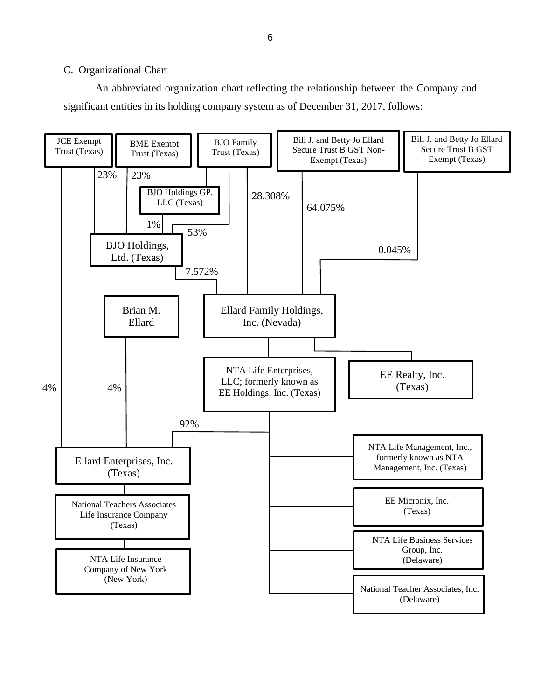#### C. Organizational Chart

An abbreviated organization chart reflecting the relationship between the Company and significant entities in its holding company system as of December 31, 2017, follows:

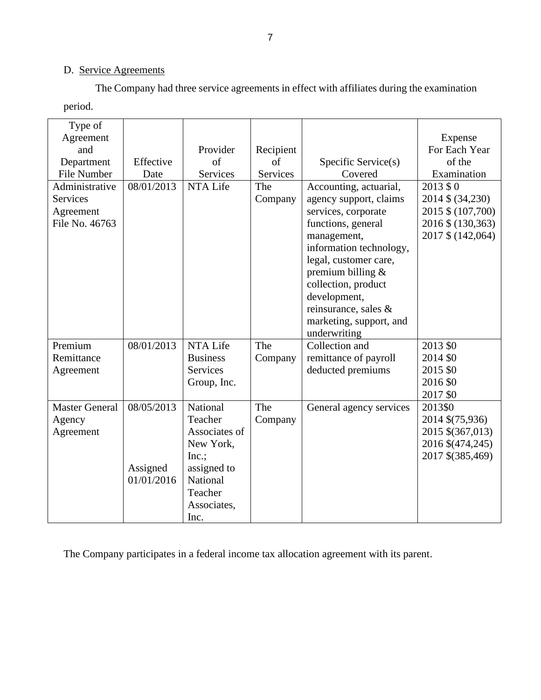### D. Service Agreements

The Company had three service agreements in effect with affiliates during the examination period.

| Type of<br>Agreement<br>and<br>Department<br>File Number         | Effective<br>Date                    | Provider<br>of<br>Services                                                                                                    | Recipient<br>of<br>Services | Specific Service(s)<br>Covered                                                                                                                                                                                                                                                                    | Expense<br>For Each Year<br>of the<br>Examination                                            |
|------------------------------------------------------------------|--------------------------------------|-------------------------------------------------------------------------------------------------------------------------------|-----------------------------|---------------------------------------------------------------------------------------------------------------------------------------------------------------------------------------------------------------------------------------------------------------------------------------------------|----------------------------------------------------------------------------------------------|
| Administrative<br><b>Services</b><br>Agreement<br>File No. 46763 | 08/01/2013                           | NTA Life                                                                                                                      | The<br>Company              | Accounting, actuarial,<br>agency support, claims<br>services, corporate<br>functions, general<br>management,<br>information technology,<br>legal, customer care,<br>premium billing $&$<br>collection, product<br>development,<br>reinsurance, sales &<br>marketing, support, and<br>underwriting | 2013 \$ 0<br>2014 \$ (34,230)<br>2015 \$ (107,700)<br>2016 \$ (130,363)<br>2017 \$ (142,064) |
| Premium<br>Remittance<br>Agreement                               | 08/01/2013                           | NTA Life<br><b>Business</b><br><b>Services</b><br>Group, Inc.                                                                 | The<br>Company              | Collection and<br>remittance of payroll<br>deducted premiums                                                                                                                                                                                                                                      | 2013 \$0<br>2014 \$0<br>2015 \$0<br>2016 \$0<br>2017 \$0                                     |
| <b>Master General</b><br>Agency<br>Agreement                     | 08/05/2013<br>Assigned<br>01/01/2016 | National<br>Teacher<br>Associates of<br>New York,<br>Inc.<br>assigned to<br><b>National</b><br>Teacher<br>Associates,<br>Inc. | The<br>Company              | General agency services                                                                                                                                                                                                                                                                           | 2013\$0<br>2014 \$(75,936)<br>2015 \$(367,013)<br>2016 \$(474,245)<br>2017 \$(385,469)       |

The Company participates in a federal income tax allocation agreement with its parent.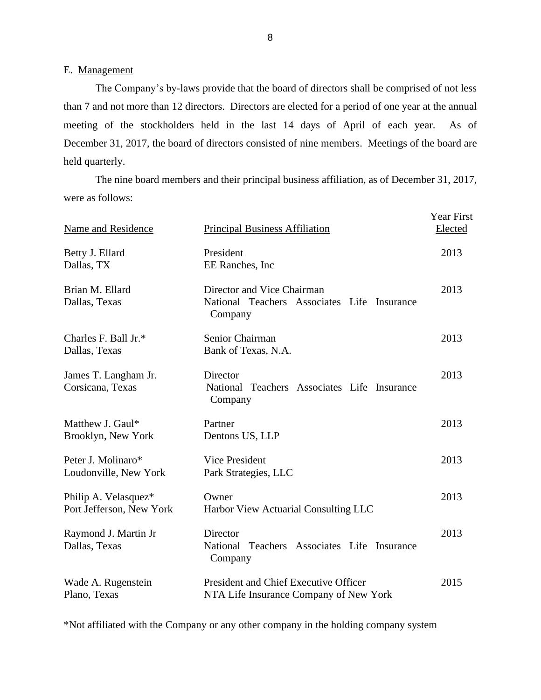E. Management

The Company's by-laws provide that the board of directors shall be comprised of not less than 7 and not more than 12 directors. Directors are elected for a period of one year at the annual meeting of the stockholders held in the last 14 days of April of each year. As of December 31, 2017, the board of directors consisted of nine members. Meetings of the board are held quarterly.

The nine board members and their principal business affiliation, as of December 31, 2017, were as follows:

| Name and Residence                               | <b>Principal Business Affiliation</b>                                                | Year First<br>Elected |
|--------------------------------------------------|--------------------------------------------------------------------------------------|-----------------------|
| Betty J. Ellard<br>Dallas, TX                    | President<br>EE Ranches, Inc                                                         | 2013                  |
| Brian M. Ellard<br>Dallas, Texas                 | Director and Vice Chairman<br>National Teachers Associates Life Insurance<br>Company | 2013                  |
| Charles F. Ball Jr.*<br>Dallas, Texas            | Senior Chairman<br>Bank of Texas, N.A.                                               | 2013                  |
| James T. Langham Jr.<br>Corsicana, Texas         | Director<br>National Teachers Associates Life Insurance<br>Company                   | 2013                  |
| Matthew J. Gaul*<br>Brooklyn, New York           | Partner<br>Dentons US, LLP                                                           | 2013                  |
| Peter J. Molinaro*<br>Loudonville, New York      | Vice President<br>Park Strategies, LLC                                               | 2013                  |
| Philip A. Velasquez*<br>Port Jefferson, New York | Owner<br>Harbor View Actuarial Consulting LLC                                        | 2013                  |
| Raymond J. Martin Jr<br>Dallas, Texas            | Director<br>National Teachers Associates Life Insurance<br>Company                   | 2013                  |
| Wade A. Rugenstein<br>Plano, Texas               | President and Chief Executive Officer<br>NTA Life Insurance Company of New York      | 2015                  |

\*Not affiliated with the Company or any other company in the holding company system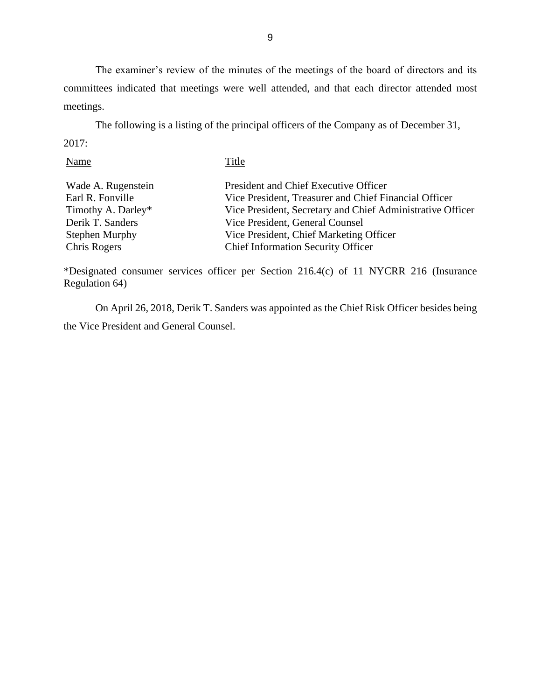The examiner's review of the minutes of the meetings of the board of directors and its committees indicated that meetings were well attended, and that each director attended most meetings.

The following is a listing of the principal officers of the Company as of December 31, 2017:

| Title                                                      |
|------------------------------------------------------------|
| President and Chief Executive Officer                      |
| Vice President, Treasurer and Chief Financial Officer      |
| Vice President, Secretary and Chief Administrative Officer |
| Vice President, General Counsel                            |
| Vice President, Chief Marketing Officer                    |
| <b>Chief Information Security Officer</b>                  |
|                                                            |

\*Designated consumer services officer per Section 216.4(c) of 11 NYCRR 216 (Insurance Regulation 64)

On April 26, 2018, Derik T. Sanders was appointed as the Chief Risk Officer besides being the Vice President and General Counsel.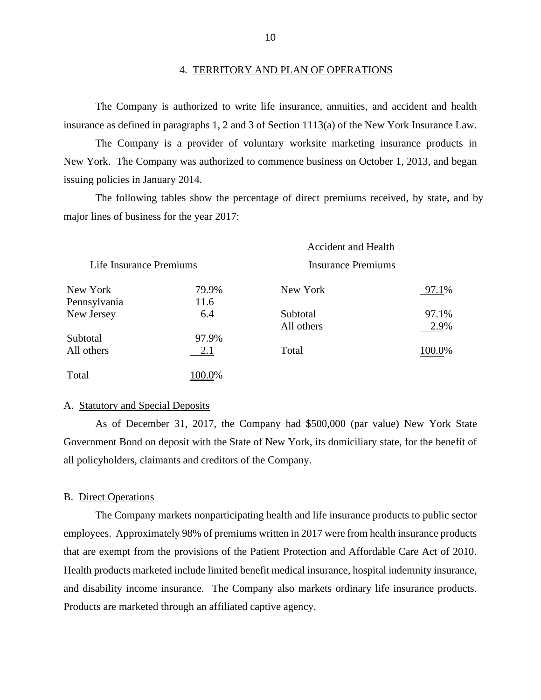#### 4. TERRITORY AND PLAN OF OPERATIONS

The Company is authorized to write life insurance, annuities, and accident and health insurance as defined in paragraphs 1, 2 and 3 of Section 1113(a) of the New York Insurance Law.

The Company is a provider of voluntary worksite marketing insurance products in New York. The Company was authorized to commence business on October 1, 2013, and began issuing policies in January 2014.

The following tables show the percentage of direct premiums received, by state, and by major lines of business for the year 2017:

|                         |        | <b>Accident and Health</b> |        |
|-------------------------|--------|----------------------------|--------|
| Life Insurance Premiums |        | <b>Insurance Premiums</b>  |        |
| New York                | 79.9%  | New York                   | 97.1%  |
| Pennsylvania            | 11.6   |                            |        |
| New Jersey              | 6.4    | Subtotal                   | 97.1%  |
|                         |        | All others                 | 2.9%   |
| Subtotal                | 97.9%  |                            |        |
| All others              | 2.1    | Total                      | 100.0% |
| Total                   | 100.0% |                            |        |

#### A. Statutory and Special Deposits

As of December 31, 2017, the Company had \$500,000 (par value) New York State Government Bond on deposit with the State of New York, its domiciliary state, for the benefit of all policyholders, claimants and creditors of the Company.

#### B. Direct Operations

The Company markets nonparticipating health and life insurance products to public sector employees. Approximately 98% of premiums written in 2017 were from health insurance products that are exempt from the provisions of the Patient Protection and Affordable Care Act of 2010. Health products marketed include limited benefit medical insurance, hospital indemnity insurance, and disability income insurance. The Company also markets ordinary life insurance products. Products are marketed through an affiliated captive agency.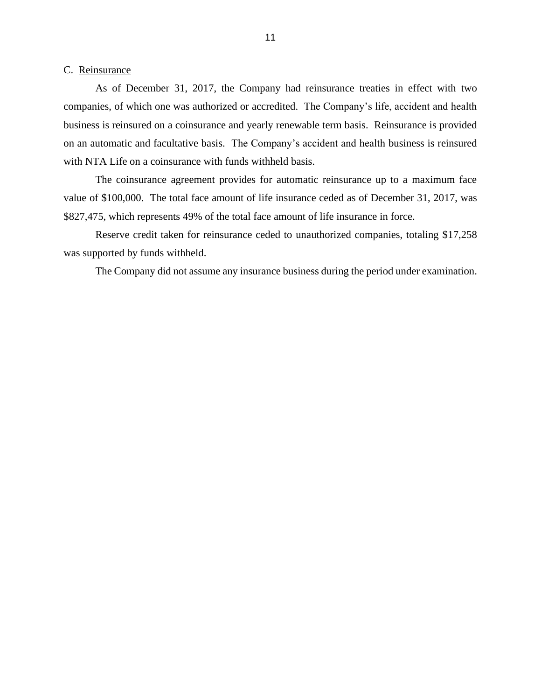#### C. Reinsurance

As of December 31, 2017, the Company had reinsurance treaties in effect with two companies, of which one was authorized or accredited. The Company's life, accident and health business is reinsured on a coinsurance and yearly renewable term basis. Reinsurance is provided on an automatic and facultative basis. The Company's accident and health business is reinsured with NTA Life on a coinsurance with funds withheld basis.

The coinsurance agreement provides for automatic reinsurance up to a maximum face value of \$100,000. The total face amount of life insurance ceded as of December 31, 2017, was \$827,475, which represents 49% of the total face amount of life insurance in force.

Reserve credit taken for reinsurance ceded to unauthorized companies, totaling \$17,258 was supported by funds withheld.

The Company did not assume any insurance business during the period under examination.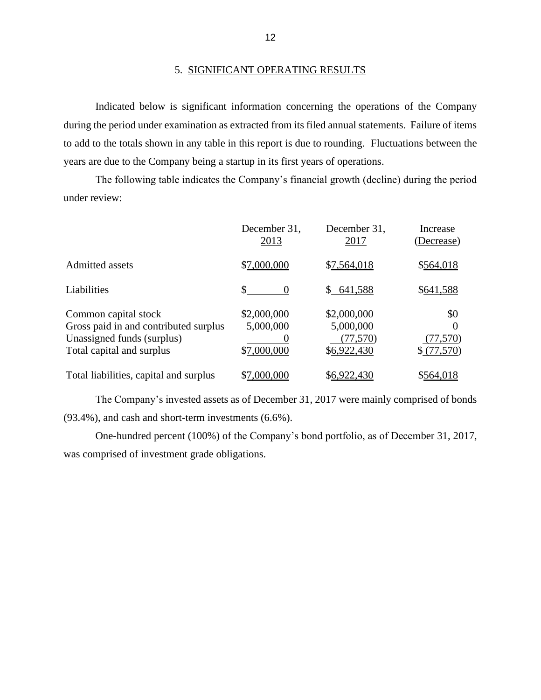#### 5. SIGNIFICANT OPERATING RESULTS

Indicated below is significant information concerning the operations of the Company during the period under examination as extracted from its filed annual statements. Failure of items to add to the totals shown in any table in this report is due to rounding. Fluctuations between the years are due to the Company being a startup in its first years of operations.

The following table indicates the Company's financial growth (decline) during the period under review:

|                                                                                                                          | December 31,<br>2013                    | December 31,<br>2017                                 | Increase<br>(Decrease)                     |
|--------------------------------------------------------------------------------------------------------------------------|-----------------------------------------|------------------------------------------------------|--------------------------------------------|
| Admitted assets                                                                                                          | \$7,000,000                             | \$7,564,018                                          | \$564,018                                  |
| Liabilities                                                                                                              | \$<br>$\theta$                          | \$641,588                                            | \$641,588                                  |
| Common capital stock<br>Gross paid in and contributed surplus<br>Unassigned funds (surplus)<br>Total capital and surplus | \$2,000,000<br>5,000,000<br>\$7,000,000 | \$2,000,000<br>5,000,000<br>(77, 570)<br>\$6,922,430 | \$0<br>$\Omega$<br>(77, 570)<br>\$(77,570) |
| Total liabilities, capital and surplus                                                                                   | \$7,000,000                             | \$6,922,430                                          | \$564,018                                  |

The Company's invested assets as of December 31, 2017 were mainly comprised of bonds (93.4%), and cash and short-term investments (6.6%).

One-hundred percent (100%) of the Company's bond portfolio, as of December 31, 2017, was comprised of investment grade obligations.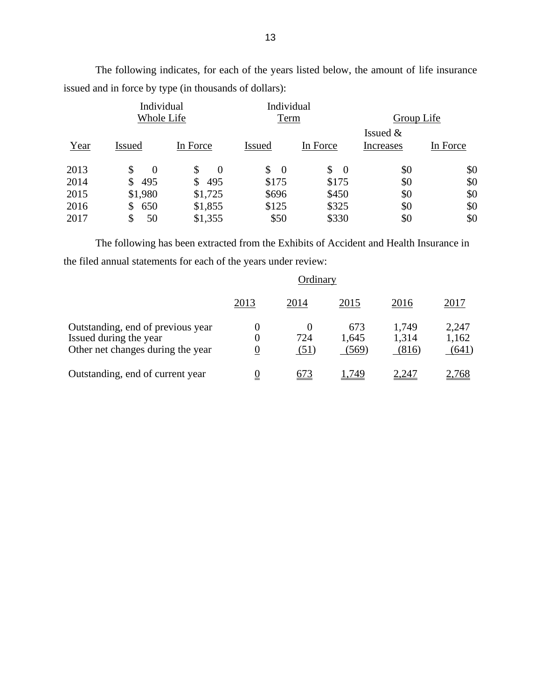|            | Individual     |               | Individual |                     |            |          |
|------------|----------------|---------------|------------|---------------------|------------|----------|
| Whole Life |                | Term          |            | Group Life          |            |          |
|            |                |               |            |                     | Issued $&$ |          |
| Year       | <b>Issued</b>  | In Force      | Issued     | In Force            | Increases  | In Force |
| 2013       | \$<br>$\theta$ | $\theta$<br>S | \$<br>- 0  | $\mathbb{S}$<br>- 0 | \$0        | \$0      |
| 2014       | 495<br>S       | 495<br>S      | \$175      | \$175               | \$0        | \$0      |
| 2015       | \$1,980        | \$1,725       | \$696      | \$450               | \$0        | \$0      |
| 2016       | 650<br>\$      | \$1,855       | \$125      | \$325               | \$0        | \$0      |
| 2017       | \$<br>50       | \$1,355       | \$50       | \$330               | \$0        | \$0      |

The following indicates, for each of the years listed below, the amount of life insurance issued and in force by type (in thousands of dollars):

The following has been extracted from the Exhibits of Accident and Health Insurance in the filed annual statements for each of the years under review:

|                                                                                                  | Ordinary                          |                         |                       |                         |                         |
|--------------------------------------------------------------------------------------------------|-----------------------------------|-------------------------|-----------------------|-------------------------|-------------------------|
|                                                                                                  | 2013                              | 2014                    | 2015                  | 2016                    | 2017                    |
| Outstanding, end of previous year<br>Issued during the year<br>Other net changes during the year | $\theta$<br>0<br>$\boldsymbol{0}$ | $\theta$<br>724<br>(51) | 673<br>1,645<br>(569) | 1,749<br>1,314<br>(816) | 2,247<br>1,162<br>(641) |
| Outstanding, end of current year                                                                 | $\overline{0}$                    | 673                     | 749. ا                | 2,247                   | 2,768                   |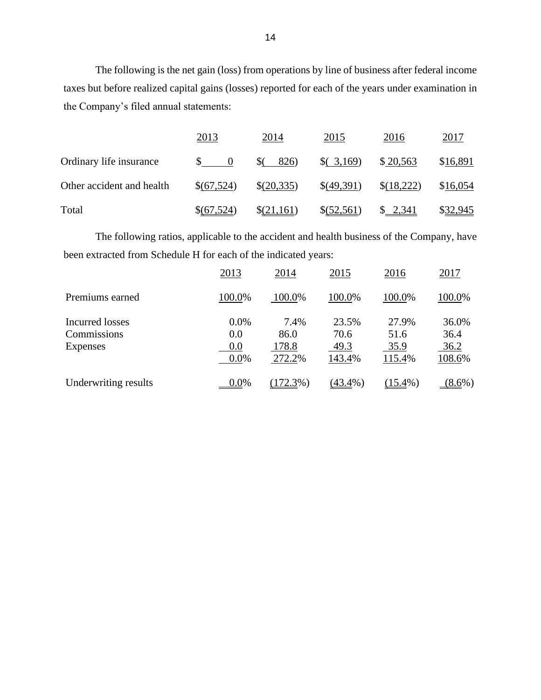The following is the net gain (loss) from operations by line of business after federal income taxes but before realized capital gains (losses) reported for each of the years under examination in the Company's filed annual statements:

|                           | 2013                                                   | 2014       | 2015       | 2016       | 2017     |
|---------------------------|--------------------------------------------------------|------------|------------|------------|----------|
| Ordinary life insurance   | $\begin{array}{ccc} \text{S} & & \text{O} \end{array}$ | $($ 826)   | (3,169)    | \$20,563   | \$16,891 |
| Other accident and health | \$(67,524)                                             | \$(20,335) | \$(49,391) | \$(18,222) | \$16,054 |
| Total                     | \$(67,524)                                             | \$(21,161) | \$(52,561) | \$2,341    | \$32,945 |

The following ratios, applicable to the accident and health business of the Company, have been extracted from Schedule H for each of the indicated years:

|                                            | 2013                          | 2014                            | 2015                            | 2016                            | 2017                            |
|--------------------------------------------|-------------------------------|---------------------------------|---------------------------------|---------------------------------|---------------------------------|
| Premiums earned                            | 100.0%                        | 100.0%                          | 100.0%                          | 100.0%                          | 100.0%                          |
| Incurred losses<br>Commissions<br>Expenses | 0.0%<br>0.0<br>0.0<br>$0.0\%$ | 7.4%<br>86.0<br>178.8<br>272.2% | 23.5%<br>70.6<br>49.3<br>143.4% | 27.9%<br>51.6<br>35.9<br>115.4% | 36.0%<br>36.4<br>36.2<br>108.6% |
| Underwriting results                       | 0.0%                          | (172.3%)                        | $(43.4\%)$                      | $(15.4\%)$                      | $(8.6\%)$                       |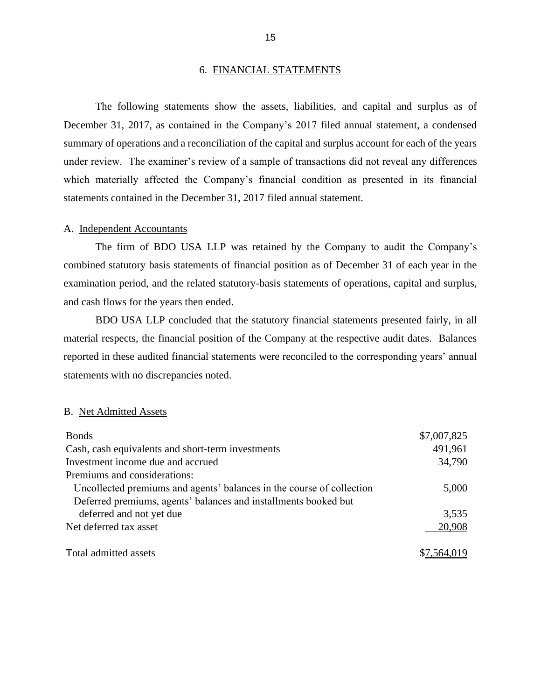#### 6. FINANCIAL STATEMENTS

The following statements show the assets, liabilities, and capital and surplus as of December 31, 2017, as contained in the Company's 2017 filed annual statement, a condensed summary of operations and a reconciliation of the capital and surplus account for each of the years under review. The examiner's review of a sample of transactions did not reveal any differences which materially affected the Company's financial condition as presented in its financial statements contained in the December 31, 2017 filed annual statement.

#### A. Independent Accountants

The firm of BDO USA LLP was retained by the Company to audit the Company's combined statutory basis statements of financial position as of December 31 of each year in the examination period, and the related statutory-basis statements of operations, capital and surplus, and cash flows for the years then ended.

BDO USA LLP concluded that the statutory financial statements presented fairly, in all material respects, the financial position of the Company at the respective audit dates. Balances reported in these audited financial statements were reconciled to the corresponding years' annual statements with no discrepancies noted.

#### B. Net Admitted Assets

| <b>Bonds</b>                                                          | \$7,007,825 |
|-----------------------------------------------------------------------|-------------|
| Cash, cash equivalents and short-term investments                     | 491,961     |
| Investment income due and accrued                                     | 34,790      |
| Premiums and considerations:                                          |             |
| Uncollected premiums and agents' balances in the course of collection | 5,000       |
| Deferred premiums, agents' balances and installments booked but       |             |
| deferred and not yet due                                              | 3,535       |
| Net deferred tax asset                                                | 20,908      |
|                                                                       |             |
| Total admitted assets                                                 | \$7,564,019 |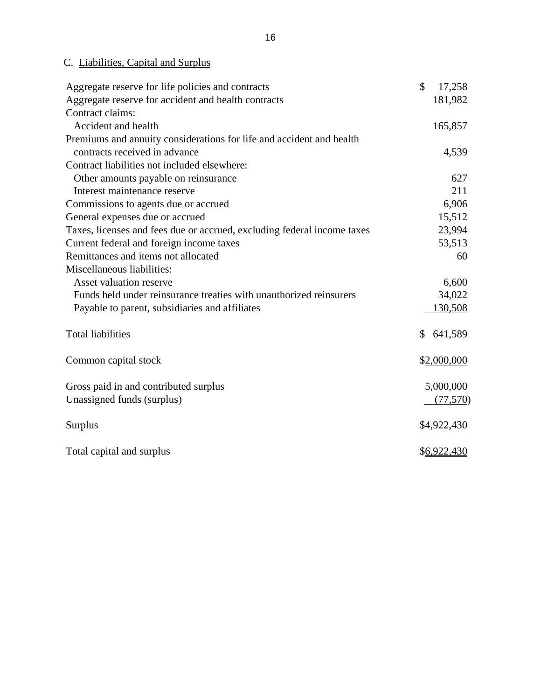## C. Liabilities, Capital and Surplus

| Aggregate reserve for life policies and contracts                       | \$<br>17,258 |
|-------------------------------------------------------------------------|--------------|
| Aggregate reserve for accident and health contracts                     | 181,982      |
| Contract claims:                                                        |              |
| Accident and health                                                     | 165,857      |
| Premiums and annuity considerations for life and accident and health    |              |
| contracts received in advance                                           | 4,539        |
| Contract liabilities not included elsewhere:                            |              |
| Other amounts payable on reinsurance                                    | 627          |
| Interest maintenance reserve                                            | 211          |
| Commissions to agents due or accrued                                    | 6,906        |
| General expenses due or accrued                                         | 15,512       |
| Taxes, licenses and fees due or accrued, excluding federal income taxes | 23,994       |
| Current federal and foreign income taxes                                | 53,513       |
| Remittances and items not allocated                                     | 60           |
| Miscellaneous liabilities:                                              |              |
| Asset valuation reserve                                                 | 6,600        |
| Funds held under reinsurance treaties with unauthorized reinsurers      | 34,022       |
| Payable to parent, subsidiaries and affiliates                          | 130,508      |
| <b>Total liabilities</b>                                                | \$641,589    |
| Common capital stock                                                    | \$2,000,000  |
| Gross paid in and contributed surplus                                   | 5,000,000    |
| Unassigned funds (surplus)                                              | (77, 570)    |
| Surplus                                                                 | \$4,922,430  |
| Total capital and surplus                                               | \$6,922,430  |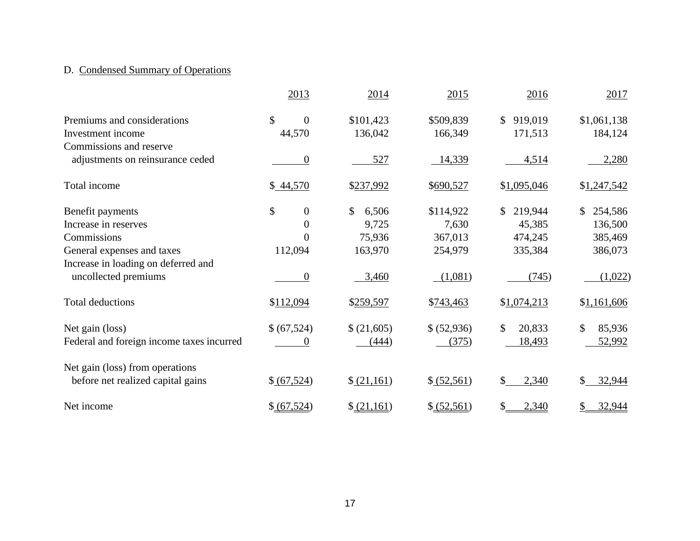## D. Condensed Summary of Operations

|                                           | 2013                   | 2014        | 2015         | 2016                      | 2017          |
|-------------------------------------------|------------------------|-------------|--------------|---------------------------|---------------|
| Premiums and considerations               | \$<br>$\overline{0}$   | \$101,423   | \$509,839    | \$919,019                 | \$1,061,138   |
| Investment income                         | 44,570                 | 136,042     | 166,349      | 171,513                   | 184,124       |
| Commissions and reserve                   |                        |             |              |                           |               |
| adjustments on reinsurance ceded          | $\boldsymbol{0}$       | 527         | 14,339       | 4,514                     | 2,280         |
| Total income                              | \$44,570               | \$237,992   | \$690,527    | \$1,095,046               | \$1,247,542   |
| Benefit payments                          | \$<br>$\boldsymbol{0}$ | \$<br>6,506 | \$114,922    | 219,944<br>$\mathbb{S}^-$ | 254,586<br>\$ |
| Increase in reserves                      | $\overline{0}$         | 9,725       | 7,630        | 45,385                    | 136,500       |
| Commissions                               | $\overline{0}$         | 75,936      | 367,013      | 474,245                   | 385,469       |
| General expenses and taxes                | 112,094                | 163,970     | 254,979      | 335,384                   | 386,073       |
| Increase in loading on deferred and       |                        |             |              |                           |               |
| uncollected premiums                      | $\boldsymbol{0}$       | 3,460       | (1,081)      | (745)                     | (1,022)       |
| <b>Total deductions</b>                   | \$112,094              | \$259,597   | \$743,463    | \$1,074,213               | \$1,161,606   |
| Net gain (loss)                           | \$(67,524)             | \$ (21,605) | \$ (52,936)  | $\mathcal{S}$<br>20,833   | \$<br>85,936  |
| Federal and foreign income taxes incurred | 0                      | (444)       | (375)        | 18,493                    | 52,992        |
| Net gain (loss) from operations           |                        |             |              |                           |               |
| before net realized capital gains         | \$ (67,524)            | (21,161)    | \$ (52,561)  | \$<br>2,340               | \$<br>32,944  |
| Net income                                | \$ (67,524)            | \$ (21,161) | \$ (52, 561) | 2,340<br>\$               | \$<br>32,944  |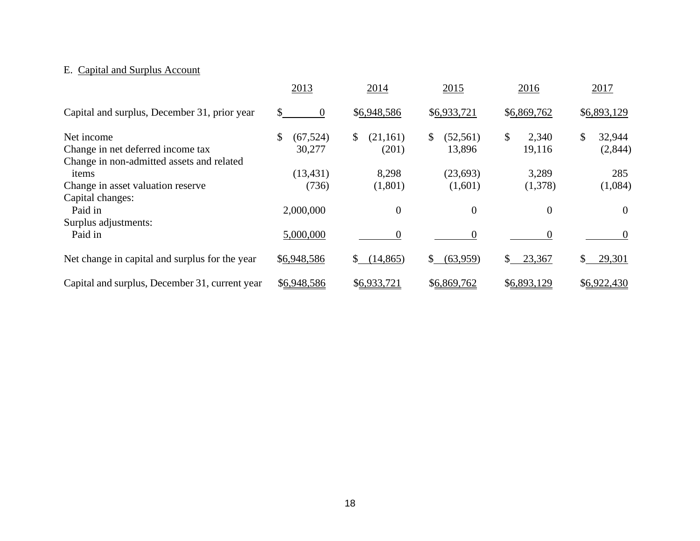## E. Capital and Surplus Account

|                                                                                              | 2013                      | 2014                             | 2015                       | 2016                  | 2017                     |
|----------------------------------------------------------------------------------------------|---------------------------|----------------------------------|----------------------------|-----------------------|--------------------------|
| Capital and surplus, December 31, prior year                                                 | $\overline{0}$<br>S.      | \$6,948,586                      | \$6,933,721                | \$6,869,762           | \$6,893,129              |
| Net income<br>Change in net deferred income tax<br>Change in non-admitted assets and related | \$<br>(67, 524)<br>30,277 | \$<br>(21,161)<br>(201)          | \$<br>(52, 561)<br>13,896  | \$<br>2,340<br>19,116 | \$<br>32,944<br>(2,844)  |
| items<br>Change in asset valuation reserve<br>Capital changes:                               | (13, 431)<br>(736)        | 8,298<br>(1,801)                 | (23, 693)<br>(1,601)       | 3,289<br>(1,378)      | 285<br>(1,084)           |
| Paid in<br>Surplus adjustments:                                                              | 2,000,000                 | $\overline{0}$                   | $\boldsymbol{0}$           | 0                     | $\theta$                 |
| Paid in<br>Net change in capital and surplus for the year                                    | 5,000,000<br>\$6,948,586  | 0<br>(14, 865)<br>$\mathbb{S}^-$ | $\theta$<br>\$<br>(63,959) | \$<br>23,367          | $\theta$<br>\$<br>29,301 |
| Capital and surplus, December 31, current year                                               | \$6,948,586               | \$6,933,721                      | \$6,869,762                | \$6,893,129           | \$6,922,430              |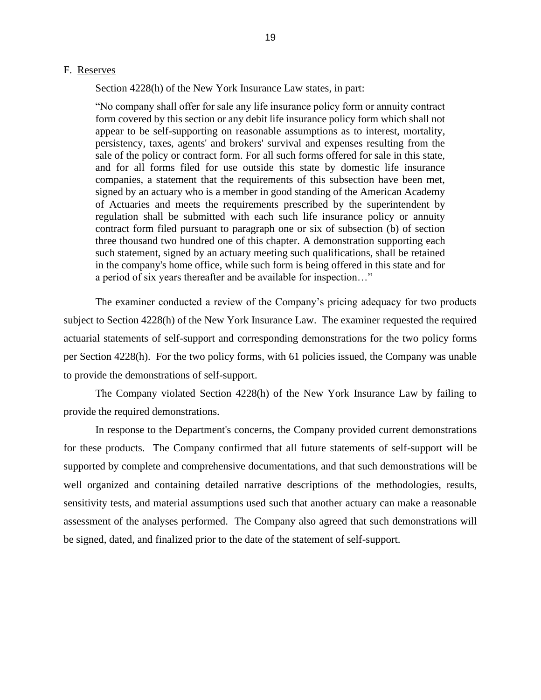#### F. Reserves

Section 4228(h) of the New York Insurance Law states, in part:

"No company shall offer for sale any life insurance policy form or annuity contract form covered by this section or any debit life insurance policy form which shall not appear to be self-supporting on reasonable assumptions as to interest, mortality, persistency, taxes, agents' and brokers' survival and expenses resulting from the sale of the policy or contract form. For all such forms offered for sale in this state, and for all forms filed for use outside this state by domestic life insurance companies, a statement that the requirements of this subsection have been met, signed by an actuary who is a member in good standing of the American Academy of Actuaries and meets the requirements prescribed by the superintendent by regulation shall be submitted with each such life insurance policy or annuity contract form filed pursuant to paragraph one or six of subsection (b) of section three thousand two hundred one of this chapter. A demonstration supporting each such statement, signed by an actuary meeting such qualifications, shall be retained in the company's home office, while such form is being offered in this state and for a period of six years thereafter and be available for inspection…"

The examiner conducted a review of the Company's pricing adequacy for two products subject to Section 4228(h) of the New York Insurance Law. The examiner requested the required actuarial statements of self-support and corresponding demonstrations for the two policy forms per Section 4228(h). For the two policy forms, with 61 policies issued, the Company was unable to provide the demonstrations of self-support.

The Company violated Section 4228(h) of the New York Insurance Law by failing to provide the required demonstrations.

In response to the Department's concerns, the Company provided current demonstrations for these products. The Company confirmed that all future statements of self-support will be supported by complete and comprehensive documentations, and that such demonstrations will be well organized and containing detailed narrative descriptions of the methodologies, results, sensitivity tests, and material assumptions used such that another actuary can make a reasonable assessment of the analyses performed. The Company also agreed that such demonstrations will be signed, dated, and finalized prior to the date of the statement of self-support.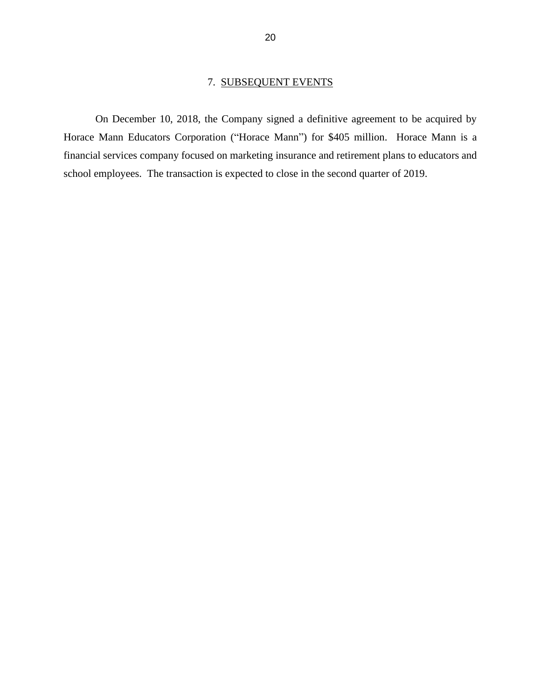### 7. SUBSEQUENT EVENTS

On December 10, 2018, the Company signed a definitive agreement to be acquired by Horace Mann Educators Corporation ("Horace Mann") for \$405 million. Horace Mann is a financial services company focused on marketing insurance and retirement plans to educators and school employees. The transaction is expected to close in the second quarter of 2019.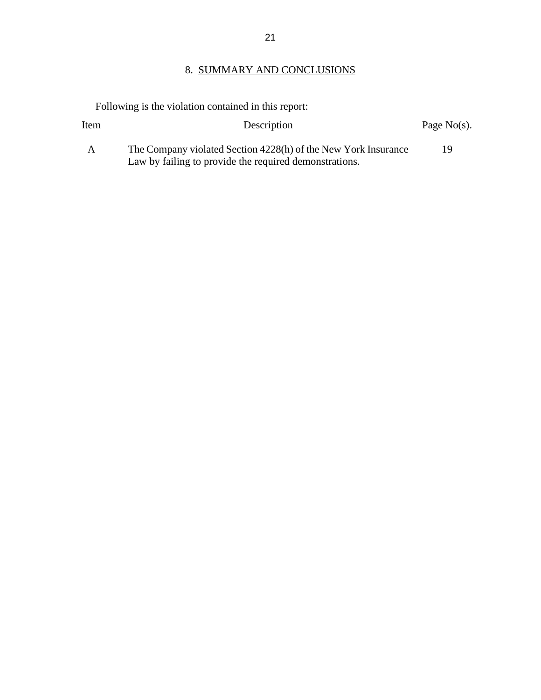## 8. SUMMARY AND CONCLUSIONS

Following is the violation contained in this report:

| <u>Item</u>  | Description                                                                                                              | Page $No(s)$ . |
|--------------|--------------------------------------------------------------------------------------------------------------------------|----------------|
| $\mathsf{A}$ | The Company violated Section 4228(h) of the New York Insurance<br>Law by failing to provide the required demonstrations. | 19             |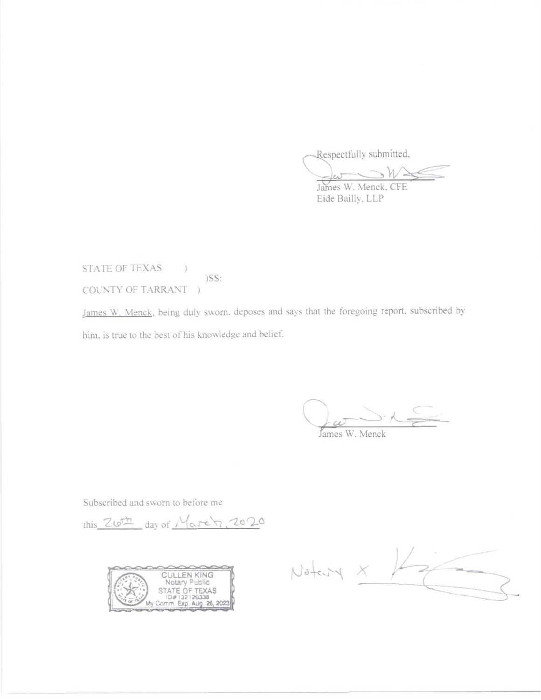Respectfully submitted,

 $\leftarrow$ James W. Menck, CFE

Eide Bailly, LLP

STATE OF TEXAS  $)$  $)$ SS: COUNTY OF TARRANT )

James W. Menck, being duly sworn, deposes and says that the foregoing report, subscribed by him, is true to the best of his knowledge and belief.

James W. Menck

Subscribed and sworn to before me

this Zloth day of March, 2020



Notary X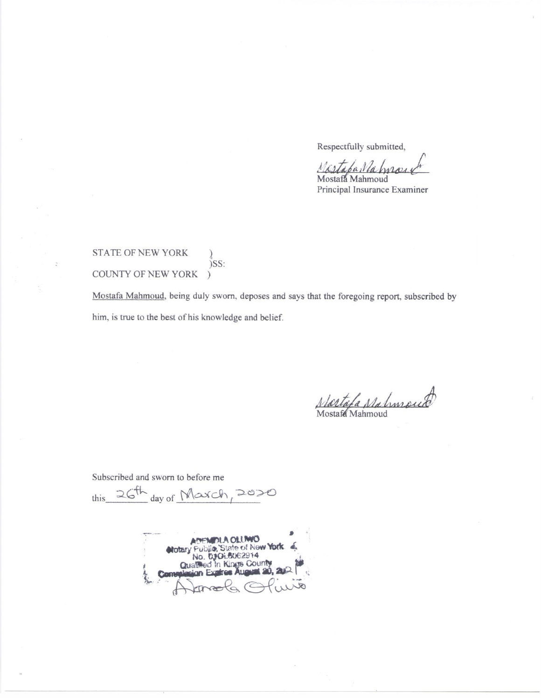Respectfully submitted,

Mistaba Nahna Mostafa Mahmoud

Principal Insurance Examiner

STATE OF NEW YORK )SS: COUNTY OF NEW YORK  $\mathcal{L}$ 

Mostafa Mahmoud, being duly sworn, deposes and says that the foregoing report, subscribed by him, is true to the best of his knowledge and belief.

Nastafa Nahmoud Mostafa Mahmoud

Subscribed and sworn to before me

this 26th day of March, 2020

**LA OLUMO** Public, State of New York Notary **03016062914** No. In Kings County Qualmed  $20, 20$